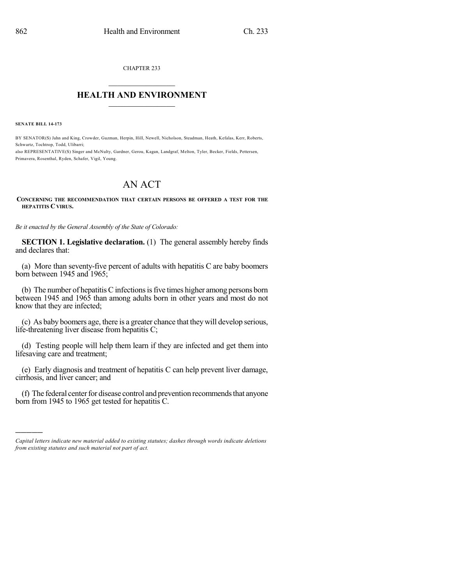CHAPTER 233

## $\overline{\phantom{a}}$  . The set of the set of the set of the set of the set of the set of the set of the set of the set of the set of the set of the set of the set of the set of the set of the set of the set of the set of the set o **HEALTH AND ENVIRONMENT**  $\_$

**SENATE BILL 14-173**

)))))

BY SENATOR(S) Jahn and King, Crowder, Guzman, Herpin, Hill, Newell, Nicholson, Steadman, Heath, Kefalas, Kerr, Roberts, Schwartz, Tochtrop, Todd, Ulibarri;

also REPRESENTATIVE(S) Singer and McNulty, Gardner, Gerou, Kagan, Landgraf, Melton, Tyler, Becker, Fields, Pettersen, Primavera, Rosenthal, Ryden, Schafer, Vigil, Young.

## AN ACT

## **CONCERNING THE RECOMMENDATION THAT CERTAIN PERSONS BE OFFERED A TEST FOR THE HEPATITIS C VIRUS.**

*Be it enacted by the General Assembly of the State of Colorado:*

**SECTION 1. Legislative declaration.** (1) The general assembly hereby finds and declares that:

(a) More than seventy-five percent of adults with hepatitis C are baby boomers born between 1945 and 1965;

 $(b)$  The number of hepatitis C infections is five times higher among persons born between 1945 and 1965 than among adults born in other years and most do not know that they are infected;

(c) As baby boomers age, there is a greater chance that theywill develop serious, life-threatening liver disease from hepatitis C;

(d) Testing people will help them learn if they are infected and get them into lifesaving care and treatment;

(e) Early diagnosis and treatment of hepatitis C can help prevent liver damage, cirrhosis, and liver cancer; and

(f) The federal center for disease control and prevention recommends that anyone born from 1945 to 1965 get tested for hepatitis C.

*Capital letters indicate new material added to existing statutes; dashes through words indicate deletions from existing statutes and such material not part of act.*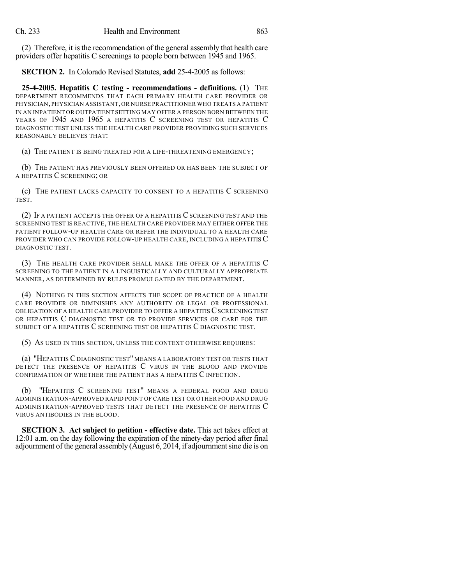(2) Therefore, it isthe recommendation of the general assembly that health care providers offer hepatitis C screenings to people born between 1945 and 1965.

**SECTION 2.** In Colorado Revised Statutes, **add** 25-4-2005 as follows:

**25-4-2005. Hepatitis C testing - recommendations - definitions.** (1) THE DEPARTMENT RECOMMENDS THAT EACH PRIMARY HEALTH CARE PROVIDER OR PHYSICIAN,PHYSICIAN ASSISTANT,OR NURSE PRACTITIONER WHO TREATS A PATIENT IN AN INPATIENT OR OUTPATIENT SETTING MAY OFFER A PERSON BORN BETWEEN THE YEARS OF 1945 AND 1965 A HEPATITIS C SCREENING TEST OR HEPATITIS C DIAGNOSTIC TEST UNLESS THE HEALTH CARE PROVIDER PROVIDING SUCH SERVICES REASONABLY BELIEVES THAT:

(a) THE PATIENT IS BEING TREATED FOR A LIFE-THREATENING EMERGENCY;

(b) THE PATIENT HAS PREVIOUSLY BEEN OFFERED OR HAS BEEN THE SUBJECT OF A HEPATITIS C SCREENING; OR

(c) THE PATIENT LACKS CAPACITY TO CONSENT TO A HEPATITIS C SCREENING TEST.

(2) IF A PATIENT ACCEPTS THE OFFER OF A HEPATITIS CSCREENING TEST AND THE SCREENING TEST IS REACTIVE, THE HEALTH CARE PROVIDER MAY EITHER OFFER THE PATIENT FOLLOW-UP HEALTH CARE OR REFER THE INDIVIDUAL TO A HEALTH CARE PROVIDER WHO CAN PROVIDE FOLLOW-UP HEALTH CARE, INCLUDING A HEPATITIS C DIAGNOSTIC TEST.

(3) THE HEALTH CARE PROVIDER SHALL MAKE THE OFFER OF A HEPATITIS C SCREENING TO THE PATIENT IN A LINGUISTICALLY AND CULTURALLY APPROPRIATE MANNER, AS DETERMINED BY RULES PROMULGATED BY THE DEPARTMENT.

(4) NOTHING IN THIS SECTION AFFECTS THE SCOPE OF PRACTICE OF A HEALTH CARE PROVIDER OR DIMINISHES ANY AUTHORITY OR LEGAL OR PROFESSIONAL OBLIGATION OF A HEALTH CARE PROVIDER TO OFFER A HEPATITIS  $C$  screening test OR HEPATITIS C DIAGNOSTIC TEST OR TO PROVIDE SERVICES OR CARE FOR THE SUBJECT OF A HEPATITIS C SCREENING TEST OR HEPATITIS C DIAGNOSTIC TEST.

(5) AS USED IN THIS SECTION, UNLESS THE CONTEXT OTHERWISE REQUIRES:

(a) "HEPATITIS C DIAGNOSTIC TEST" MEANS A LABORATORY TEST OR TESTS THAT DETECT THE PRESENCE OF HEPATITIS C VIRUS IN THE BLOOD AND PROVIDE CONFIRMATION OF WHETHER THE PATIENT HAS A HEPATITIS C INFECTION.

(b) "HEPATITIS C SCREENING TEST" MEANS A FEDERAL FOOD AND DRUG ADMINISTRATION-APPROVED RAPID POINT OF CARE TEST OR OTHER FOOD AND DRUG ADMINISTRATION-APPROVED TESTS THAT DETECT THE PRESENCE OF HEPATITIS C VIRUS ANTIBODIES IN THE BLOOD.

**SECTION 3. Act subject to petition - effective date.** This act takes effect at 12:01 a.m. on the day following the expiration of the ninety-day period after final adjournment of the general assembly  $(August 6, 2014, if adjourment sine die is on$